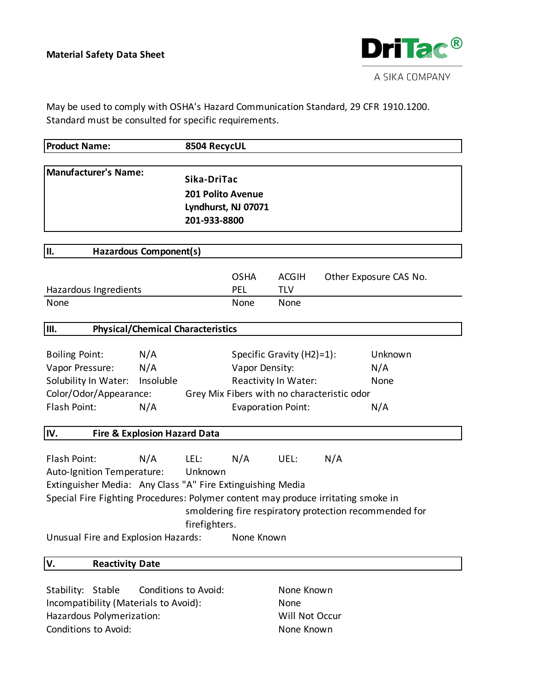

May be used to comply with OSHA's Hazard Communication Standard, 29 CFR 1910.1200. Standard must be consulted for specific requirements.

| <b>Product Name:</b>                                                              | 8504 RecycUL         |                |                                             |     |                                                        |
|-----------------------------------------------------------------------------------|----------------------|----------------|---------------------------------------------|-----|--------------------------------------------------------|
|                                                                                   |                      |                |                                             |     |                                                        |
| <b>Manufacturer's Name:</b>                                                       | Sika-DriTac          |                |                                             |     |                                                        |
|                                                                                   | 201 Polito Avenue    |                |                                             |     |                                                        |
|                                                                                   | Lyndhurst, NJ 07071  |                |                                             |     |                                                        |
|                                                                                   | 201-933-8800         |                |                                             |     |                                                        |
|                                                                                   |                      |                |                                             |     |                                                        |
| II.<br>Hazardous Component(s)                                                     |                      |                |                                             |     |                                                        |
|                                                                                   |                      |                |                                             |     |                                                        |
|                                                                                   |                      | <b>OSHA</b>    | <b>ACGIH</b>                                |     | Other Exposure CAS No.                                 |
| Hazardous Ingredients                                                             |                      | <b>PEL</b>     | <b>TLV</b>                                  |     |                                                        |
| None                                                                              |                      | None           | None                                        |     |                                                        |
| III.<br><b>Physical/Chemical Characteristics</b>                                  |                      |                |                                             |     |                                                        |
|                                                                                   |                      |                |                                             |     |                                                        |
| N/A<br><b>Boiling Point:</b>                                                      |                      |                | Specific Gravity (H2)=1):                   |     | Unknown                                                |
| N/A<br>Vapor Pressure:                                                            |                      | Vapor Density: |                                             |     | N/A                                                    |
| Solubility In Water:<br>Insoluble                                                 |                      |                | <b>Reactivity In Water:</b>                 |     | None                                                   |
| Color/Odor/Appearance:                                                            |                      |                | Grey Mix Fibers with no characteristic odor |     |                                                        |
| Flash Point:<br>N/A                                                               |                      |                | <b>Evaporation Point:</b>                   |     | N/A                                                    |
| IV.<br><b>Fire &amp; Explosion Hazard Data</b>                                    |                      |                |                                             |     |                                                        |
| N/A<br>Flash Point:                                                               | LEL:                 | N/A            | UEL:                                        | N/A |                                                        |
| Auto-Ignition Temperature:                                                        | Unknown              |                |                                             |     |                                                        |
| Extinguisher Media: Any Class "A" Fire Extinguishing Media                        |                      |                |                                             |     |                                                        |
| Special Fire Fighting Procedures: Polymer content may produce irritating smoke in |                      |                |                                             |     |                                                        |
|                                                                                   |                      |                |                                             |     | smoldering fire respiratory protection recommended for |
|                                                                                   | firefighters.        |                |                                             |     |                                                        |
| Unusual Fire and Explosion Hazards:                                               |                      | None Known     |                                             |     |                                                        |
|                                                                                   |                      |                |                                             |     |                                                        |
| V.<br><b>Reactivity Date</b>                                                      |                      |                |                                             |     |                                                        |
|                                                                                   |                      |                |                                             |     |                                                        |
| Stability: Stable                                                                 | Conditions to Avoid: |                | None Known                                  |     |                                                        |
| Incompatibility (Materials to Avoid):                                             |                      |                | None                                        |     |                                                        |
| Hazardous Polymerization:                                                         |                      |                | Will Not Occur                              |     |                                                        |
| Conditions to Avoid:                                                              |                      |                | None Known                                  |     |                                                        |